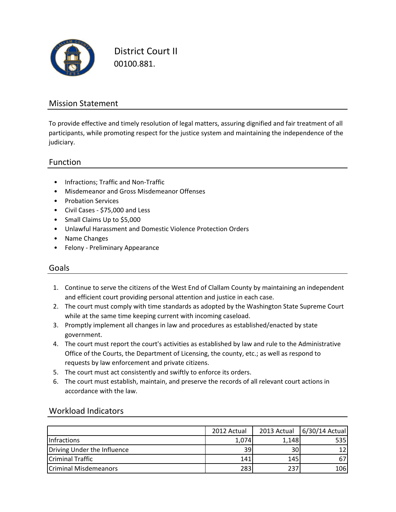

District Court II 00100.881.

### Mission Statement

To provide effective and timely resolution of legal matters, assuring dignified and fair treatment of all participants, while promoting respect for the justice system and maintaining the independence of the judiciary.

### Function

- Infractions; Traffic and Non-Traffic
- Misdemeanor and Gross Misdemeanor Offenses
- Probation Services
- Civil Cases \$75,000 and Less
- Small Claims Up to \$5,000
- Unlawful Harassment and Domestic Violence Protection Orders
- Name Changes
- Felony Preliminary Appearance

### Goals

- 1. Continue to serve the citizens of the West End of Clallam County by maintaining an independent and efficient court providing personal attention and justice in each case.
- 2. The court must comply with time standards as adopted by the Washington State Supreme Court while at the same time keeping current with incoming caseload.
- 3. Promptly implement all changes in law and procedures as established/enacted by state government.
- 4. The court must report the court's activities as established by law and rule to the Administrative Office of the Courts, the Department of Licensing, the county, etc.; as well as respond to requests by law enforcement and private citizens.
- 5. The court must act consistently and swiftly to enforce its orders.
- 6. The court must establish, maintain, and preserve the records of all relevant court actions in accordance with the law.

|                              | 2012 Actual | 2013 Actual | 6/30/14 Actual |
|------------------------------|-------------|-------------|----------------|
| <b>Infractions</b>           | 1,074       | 1,148       | 535            |
| Driving Under the Influence  | 391         | 30          |                |
| <b>Criminal Traffic</b>      | 141         | 145         |                |
| <b>Criminal Misdemeanors</b> | 283         | 237         | 106            |

### Workload Indicators